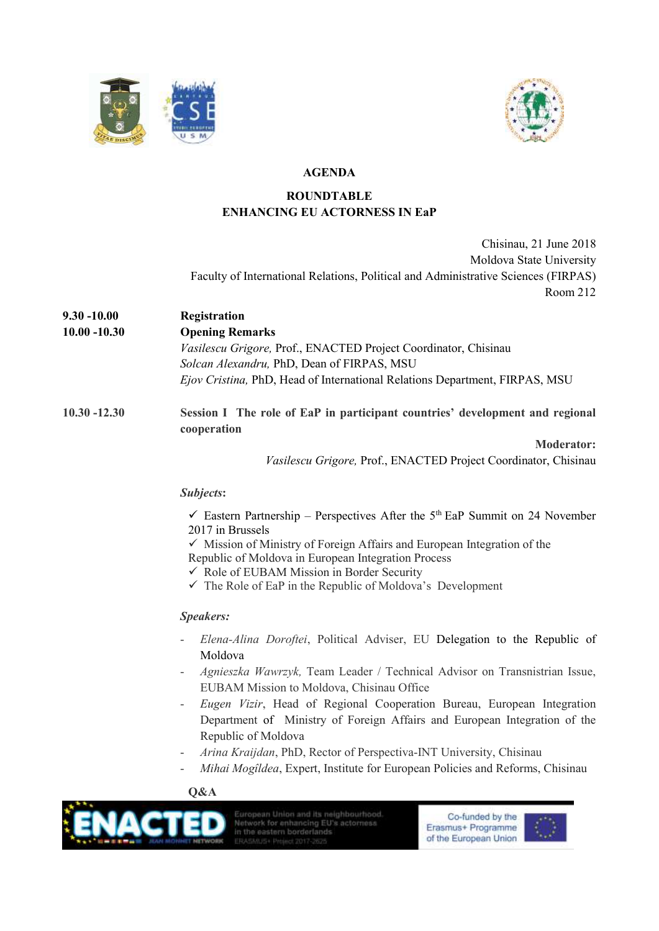



# **AGENDA**

# **ROUNDTABLE ENHANCING EU ACTORNESS IN EaP**

Chisinau, 21 June 2018 Moldova State University Faculty of International Relations, Political and Administrative Sciences (FIRPAS) Room 212

- **9.30 -10.00 Registration**
- **10.00 -10.30 Opening Remarks** *Vasilescu Grigore,* Prof., ENACTED Project Coordinator, Chisinau *Solcan Alexandru,* PhD, Dean of FIRPAS, MSU *Ejov Cristina,* PhD, Head of International Relations Department, FIRPAS, MSU
- **10.30 -12.30 Session I The role of EaP in participant countries' development and regional cooperation**

**Moderator:** *Vasilescu Grigore,* Prof., ENACTED Project Coordinator, Chisinau

# *Subjects***:**

 $\checkmark$  Eastern Partnership – Perspectives After the 5<sup>th</sup> EaP Summit on 24 November 2017 in Brussels

 $\checkmark$  Mission of Ministry of Foreign Affairs and European Integration of the

- Republic of Moldova in European Integration Process
- $\checkmark$  Role of EUBAM Mission in Border Security
- $\checkmark$  The Role of EaP in the Republic of Moldova's Development

# *Speakers:*

- *Elena-Alina Doroftei*, Political Adviser, EU Delegation to the Republic of Moldova
- *Agnieszka Wawrzyk,* Team Leader / Technical Advisor on Transnistrian Issue, EUBAM Mission to Moldova, Chisinau Office
- *Eugen Vizir*, Head of Regional Cooperation Bureau, European Integration Department of Ministry of Foreign Affairs and European Integration of the Republic of Moldova
- *Arina Kraijdan*, PhD, Rector of Perspectiva-INT University, Chisinau
- *Mihai Mogîldea*, Expert, Institute for European Policies and Reforms, Chisinau

# **Q&A**



European Union and its neighbourhood Network for enhancing EU's actorness in the eastern borderlands

Co-funded by the Erasmus+ Programme of the European Union